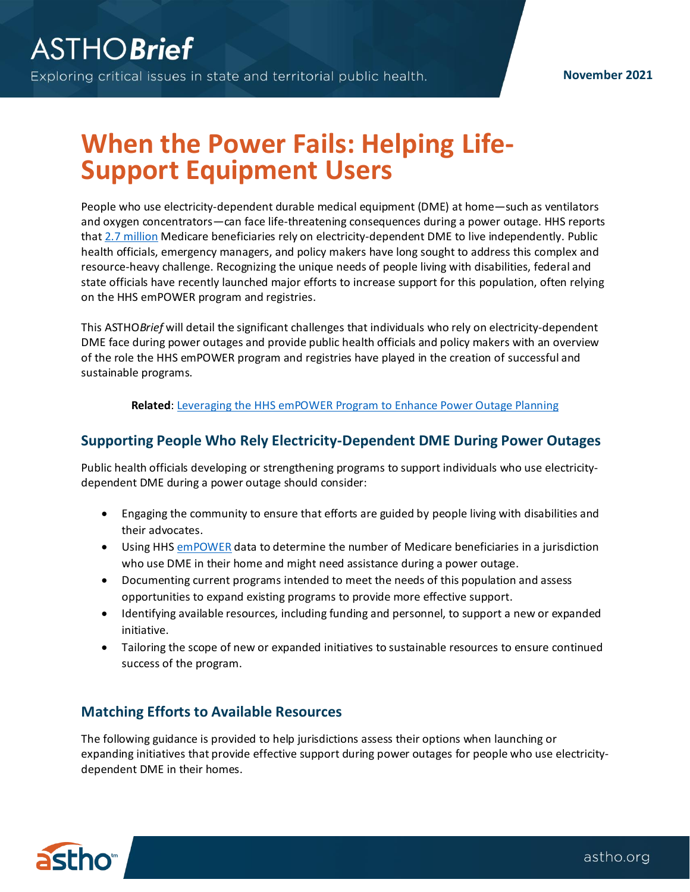# **When the Power Fails: Helping Life-Support Equipment Users**

People who use electricity-dependent durable medical equipment (DME) at home—such as ventilators and oxygen concentrators—can face life-threatening consequences during a power outage. HHS reports that 2.7 [million](https://empowerprogram.hhs.gov/about.html) Medicare beneficiaries rely on electricity-dependent DME to live independently. Public health officials, emergency managers, and policy makers have long sought to address this complex and resource-heavy challenge. Recognizing the unique needs of people living with disabilities, federal and state officials have recently launched major efforts to increase support for this population, often relying on the HHS emPOWER program and registries.

This ASTHO*Brief* will detail the significant challenges that individuals who rely on electricity-dependent DME face during power outages and provide public health officials and policy makers with an overview of the role the HHS emPOWER program and registries have played in the creation of successful and sustainable programs.

**Related**: [Leveraging the HHS emPOWER Program to Enhance Power Outage Planning](https://astho.org/generickey/GenericKeyDetails.aspx?contentid=24030&folderid=5150&catid=7184)

## **Supporting People Who Rely Electricity-Dependent DME During Power Outages**

Public health officials developing or strengthening programs to support individuals who use electricitydependent DME during a power outage should consider:

- Engaging the community to ensure that efforts are guided by people living with disabilities and their advocates.
- Using HH[S emPOWER](https://empowerprogram.hhs.gov/index.html) data to determine the number of Medicare beneficiaries in a jurisdiction who use DME in their home and might need assistance during a power outage.
- Documenting current programs intended to meet the needs of this population and assess opportunities to expand existing programs to provide more effective support.
- Identifying available resources, including funding and personnel, to support a new or expanded initiative.
- Tailoring the scope of new or expanded initiatives to sustainable resources to ensure continued success of the program.

## **Matching Efforts to Available Resources**

The following guidance is provided to help jurisdictions assess their options when launching or expanding initiatives that provide effective support during power outages for people who use electricitydependent DME in their homes.